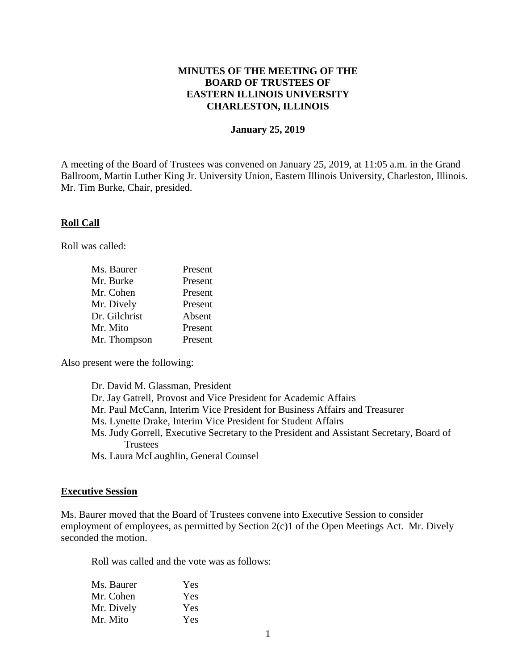## **MINUTES OF THE MEETING OF THE BOARD OF TRUSTEES OF EASTERN ILLINOIS UNIVERSITY CHARLESTON, ILLINOIS**

#### **January 25, 2019**

A meeting of the Board of Trustees was convened on January 25, 2019, at 11:05 a.m. in the Grand Ballroom, Martin Luther King Jr. University Union, Eastern Illinois University, Charleston, Illinois. Mr. Tim Burke, Chair, presided.

#### **Roll Call**

Roll was called:

| Ms. Baurer    | Present |
|---------------|---------|
| Mr. Burke     | Present |
| Mr. Cohen     | Present |
| Mr. Dively    | Present |
| Dr. Gilchrist | Absent  |
| Mr. Mito      | Present |
| Mr. Thompson  | Present |

Also present were the following:

| Dr. David M. Glassman, President                                                         |
|------------------------------------------------------------------------------------------|
| Dr. Jay Gatrell, Provost and Vice President for Academic Affairs                         |
| Mr. Paul McCann, Interim Vice President for Business Affairs and Treasurer               |
| Ms. Lynette Drake, Interim Vice President for Student Affairs                            |
| Ms. Judy Gorrell, Executive Secretary to the President and Assistant Secretary, Board of |
| <b>Trustees</b>                                                                          |
| Ms. Laura McLaughlin, General Counsel                                                    |

#### **Executive Session**

Ms. Baurer moved that the Board of Trustees convene into Executive Session to consider employment of employees, as permitted by Section 2(c)1 of the Open Meetings Act. Mr. Dively seconded the motion.

Roll was called and the vote was as follows:

| Ms. Baurer | Yes |
|------------|-----|
| Mr. Cohen  | Yes |
| Mr. Dively | Yes |
| Mr. Mito   | Yes |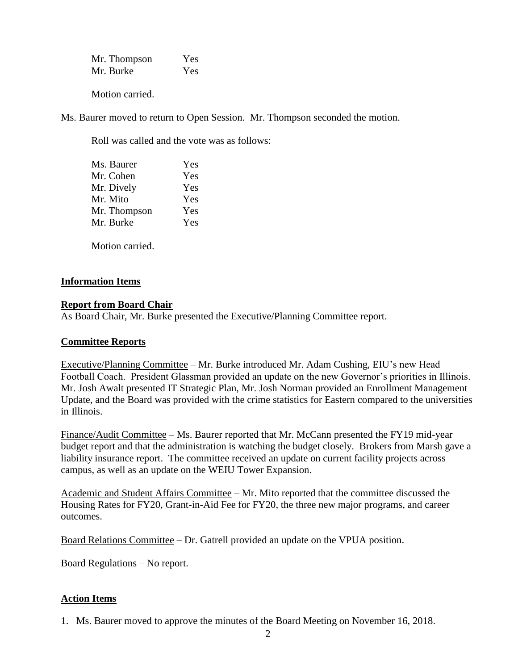| Mr. Thompson | Yes |
|--------------|-----|
| Mr. Burke    | Yes |

Motion carried.

Ms. Baurer moved to return to Open Session. Mr. Thompson seconded the motion.

Roll was called and the vote was as follows:

| Ms. Baurer   | Yes |
|--------------|-----|
| Mr. Cohen    | Yes |
| Mr. Dively   | Yes |
| Mr. Mito     | Yes |
| Mr. Thompson | Yes |
| Mr. Burke    | Yes |
|              |     |

Motion carried.

## **Information Items**

## **Report from Board Chair**

As Board Chair, Mr. Burke presented the Executive/Planning Committee report.

# **Committee Reports**

Executive/Planning Committee – Mr. Burke introduced Mr. Adam Cushing, EIU's new Head Football Coach. President Glassman provided an update on the new Governor's priorities in Illinois. Mr. Josh Awalt presented IT Strategic Plan, Mr. Josh Norman provided an Enrollment Management Update, and the Board was provided with the crime statistics for Eastern compared to the universities in Illinois.

Finance/Audit Committee – Ms. Baurer reported that Mr. McCann presented the FY19 mid-year budget report and that the administration is watching the budget closely. Brokers from Marsh gave a liability insurance report. The committee received an update on current facility projects across campus, as well as an update on the WEIU Tower Expansion.

Academic and Student Affairs Committee – Mr. Mito reported that the committee discussed the Housing Rates for FY20, Grant-in-Aid Fee for FY20, the three new major programs, and career outcomes.

Board Relations Committee – Dr. Gatrell provided an update on the VPUA position.

Board Regulations – No report.

# **Action Items**

1. Ms. Baurer moved to approve the minutes of the Board Meeting on November 16, 2018.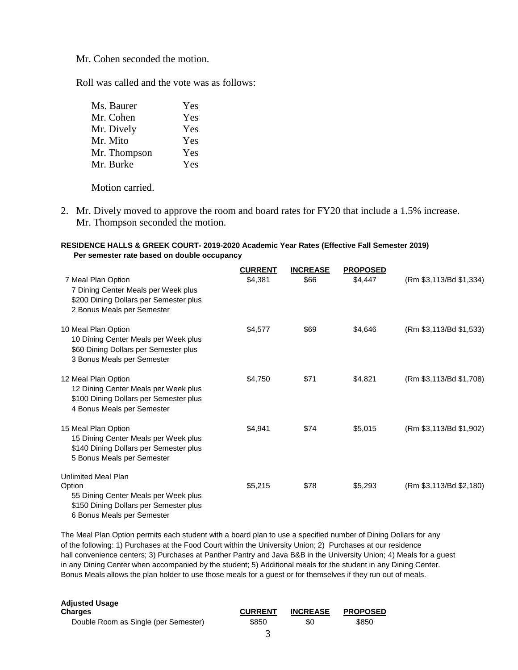Mr. Cohen seconded the motion.

Roll was called and the vote was as follows:

| Ms. Baurer   | Yes |
|--------------|-----|
| Mr. Cohen    | Yes |
| Mr. Dively   | Yes |
| Mr. Mito     | Yes |
| Mr. Thompson | Yes |
| Mr. Burke    | Yes |

Motion carried.

2. Mr. Dively moved to approve the room and board rates for FY20 that include a 1.5% increase. Mr. Thompson seconded the motion.

#### **RESIDENCE HALLS & GREEK COURT- 2019-2020 Academic Year Rates (Effective Fall Semester 2019) Per semester rate based on double occupancy**

|                                                                                                                                                      | <b>CURRENT</b> | <b>INCREASE</b> | <b>PROPOSED</b> |                         |
|------------------------------------------------------------------------------------------------------------------------------------------------------|----------------|-----------------|-----------------|-------------------------|
| 7 Meal Plan Option<br>7 Dining Center Meals per Week plus<br>\$200 Dining Dollars per Semester plus<br>2 Bonus Meals per Semester                    | \$4,381        | \$66            | \$4,447         | (Rm \$3,113/Bd \$1,334) |
| 10 Meal Plan Option<br>10 Dining Center Meals per Week plus<br>\$60 Dining Dollars per Semester plus<br>3 Bonus Meals per Semester                   | \$4,577        | \$69            | \$4,646         | (Rm \$3,113/Bd \$1,533) |
| 12 Meal Plan Option<br>12 Dining Center Meals per Week plus<br>\$100 Dining Dollars per Semester plus<br>4 Bonus Meals per Semester                  | \$4,750        | \$71            | \$4,821         | (Rm \$3,113/Bd \$1,708) |
| 15 Meal Plan Option<br>15 Dining Center Meals per Week plus<br>\$140 Dining Dollars per Semester plus<br>5 Bonus Meals per Semester                  | \$4,941        | \$74            | \$5,015         | (Rm \$3,113/Bd \$1,902) |
| <b>Unlimited Meal Plan</b><br>Option<br>55 Dining Center Meals per Week plus<br>\$150 Dining Dollars per Semester plus<br>6 Bonus Meals per Semester | \$5,215        | \$78            | \$5,293         | (Rm \$3,113/Bd \$2,180) |

The Meal Plan Option permits each student with a board plan to use a specified number of Dining Dollars for any of the following: 1) Purchases at the Food Court within the University Union; 2) Purchases at our residence hall convenience centers; 3) Purchases at Panther Pantry and Java B&B in the University Union; 4) Meals for a guest in any Dining Center when accompanied by the student; 5) Additional meals for the student in any Dining Center. Bonus Meals allows the plan holder to use those meals for a guest or for themselves if they run out of meals.

| <b>Adjusted Usage</b>                |                |                 |                 |
|--------------------------------------|----------------|-----------------|-----------------|
| <b>Charges</b>                       | <b>CURRENT</b> | <b>INCREASE</b> | <b>PROPOSED</b> |
| Double Room as Single (per Semester) | \$850          | \$0             | \$850           |
|                                      |                |                 |                 |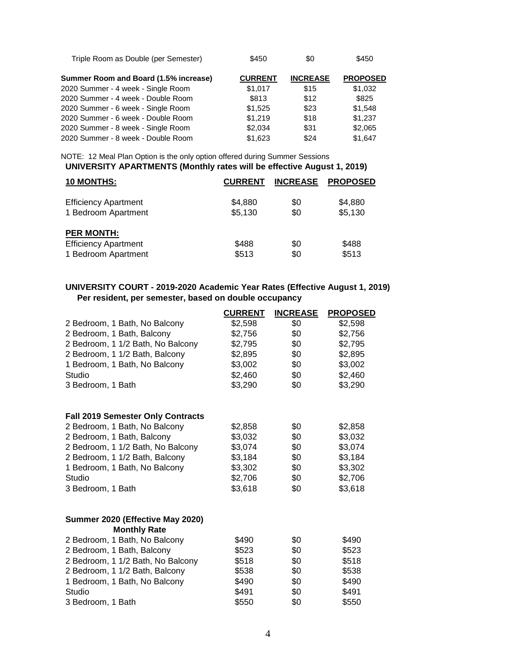| Triple Room as Double (per Semester) | \$450 | \$0 | \$450 |
|--------------------------------------|-------|-----|-------|
|                                      |       |     |       |

| Summer Room and Board (1.5% increase) | <b>CURRENT</b> | <b>INCREASE</b> | <b>PROPOSED</b> |
|---------------------------------------|----------------|-----------------|-----------------|
| 2020 Summer - 4 week - Single Room    | \$1.017        | \$15            | \$1,032         |
| 2020 Summer - 4 week - Double Room    | \$813          | \$12            | \$825           |
| 2020 Summer - 6 week - Single Room    | \$1,525        | \$23            | \$1,548         |
| 2020 Summer - 6 week - Double Room    | \$1.219        | \$18            | \$1,237         |
| 2020 Summer - 8 week - Single Room    | \$2,034        | \$31            | \$2,065         |
| 2020 Summer - 8 week - Double Room    | \$1,623        | \$24            | \$1.647         |

NOTE: 12 Meal Plan Option is the only option offered during Summer Sessions **UNIVERSITY APARTMENTS (Monthly rates will be effective August 1, 2019)**

| <b>10 MONTHS:</b>           | <b>CURRENT</b> | <b>INCREASE</b> | <b>PROPOSED</b> |
|-----------------------------|----------------|-----------------|-----------------|
| <b>Efficiency Apartment</b> | \$4,880        | \$0             | \$4,880         |
| 1 Bedroom Apartment         | \$5,130        | \$0             | \$5,130         |
| <b>PER MONTH:</b>           |                |                 |                 |
| <b>Efficiency Apartment</b> | \$488          | \$0             | \$488           |
| 1 Bedroom Apartment         | \$513          | \$0             | \$513           |

#### **UNIVERSITY COURT - 2019-2020 Academic Year Rates (Effective August 1, 2019) Per resident, per semester, based on double occupancy**

|                                          | <b>CURRENT</b> | <b>INCREASE</b> | <b>PROPOSED</b> |
|------------------------------------------|----------------|-----------------|-----------------|
| 2 Bedroom, 1 Bath, No Balcony            | \$2,598        | \$0             | \$2,598         |
| 2 Bedroom, 1 Bath, Balcony               | \$2,756        | \$0             | \$2,756         |
| 2 Bedroom, 1 1/2 Bath, No Balcony        | \$2,795        | \$0             | \$2,795         |
| 2 Bedroom, 1 1/2 Bath, Balcony           | \$2,895        | \$0             | \$2,895         |
| 1 Bedroom, 1 Bath, No Balcony            | \$3,002        | \$0             | \$3,002         |
| Studio                                   | \$2,460        | \$0             | \$2,460         |
| 3 Bedroom, 1 Bath                        | \$3,290        | \$0             | \$3,290         |
|                                          |                |                 |                 |
| <b>Fall 2019 Semester Only Contracts</b> |                |                 |                 |
| 2 Bedroom, 1 Bath, No Balcony            | \$2,858        | \$0             | \$2,858         |
| 2 Bedroom, 1 Bath, Balcony               | \$3,032        | \$0             | \$3,032         |
| 2 Bedroom, 1 1/2 Bath, No Balcony        | \$3,074        | \$0             | \$3,074         |
| 2 Bedroom, 1 1/2 Bath, Balcony           | \$3,184        | \$0             | \$3,184         |
| 1 Bedroom, 1 Bath, No Balcony            | \$3,302        | \$0             | \$3,302         |
| Studio                                   | \$2,706        | \$0             | \$2,706         |
| 3 Bedroom, 1 Bath                        | \$3,618        | \$0             | \$3,618         |
|                                          |                |                 |                 |
| Summer 2020 (Effective May 2020)         |                |                 |                 |
| <b>Monthly Rate</b>                      |                |                 |                 |
| 2 Bedroom, 1 Bath, No Balcony            | \$490          | \$0             | \$490           |
| 2 Bedroom, 1 Bath, Balcony               | \$523          | \$0             | \$523           |
| 2 Bedroom, 1 1/2 Bath, No Balcony        | \$518          | \$0             | \$518           |
| 2 Bedroom, 1 1/2 Bath, Balcony           | \$538          | \$0             | \$538           |
| 1 Bedroom, 1 Bath, No Balcony            | \$490          | \$0             | \$490           |
| Studio                                   | \$491          | \$0             | \$491           |
| 3 Bedroom, 1 Bath                        | \$550          | \$0             | \$550           |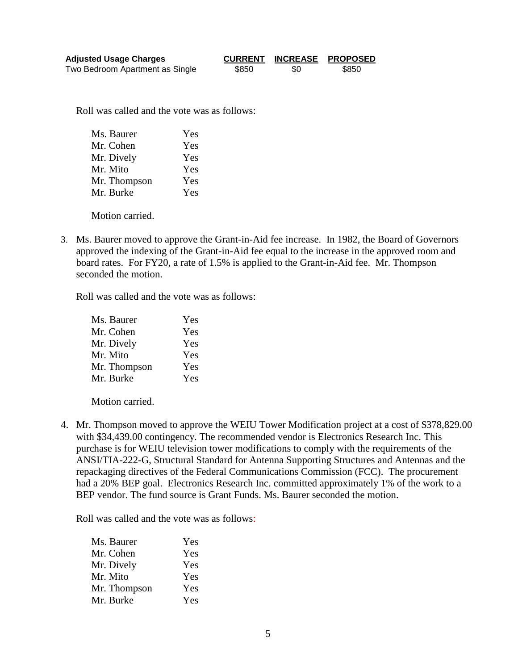| <b>Adjusted Usage Charges</b>   | <b>CURRENT</b> |     | <b>INCREASE PROPOSED</b> |
|---------------------------------|----------------|-----|--------------------------|
| Two Bedroom Apartment as Single | \$850          | \$0 | \$850                    |

Roll was called and the vote was as follows:

| Ms. Baurer   | Yes |
|--------------|-----|
| Mr. Cohen    | Yes |
| Mr. Dively   | Yes |
| Mr. Mito     | Yes |
| Mr. Thompson | Yes |
| Mr. Burke    | Yes |
|              |     |

Motion carried.

3. Ms. Baurer moved to approve the Grant-in-Aid fee increase. In 1982, the Board of Governors approved the indexing of the Grant-in-Aid fee equal to the increase in the approved room and board rates. For FY20, a rate of 1.5% is applied to the Grant-in-Aid fee. Mr. Thompson seconded the motion.

Roll was called and the vote was as follows:

| Yes |
|-----|
| Yes |
| Yes |
| Yes |
| Yes |
| Yes |
|     |

Motion carried.

4. Mr. Thompson moved to approve the WEIU Tower Modification project at a cost of \$378,829.00 with \$34,439.00 contingency. The recommended vendor is Electronics Research Inc. This purchase is for WEIU television tower modifications to comply with the requirements of the ANSI/TIA-222-G, Structural Standard for Antenna Supporting Structures and Antennas and the repackaging directives of the Federal Communications Commission (FCC). The procurement had a 20% BEP goal. Electronics Research Inc. committed approximately 1% of the work to a BEP vendor. The fund source is Grant Funds. Ms. Baurer seconded the motion.

Roll was called and the vote was as follows:

| Yes |
|-----|
| Yes |
| Yes |
| Yes |
| Yes |
| Yes |
|     |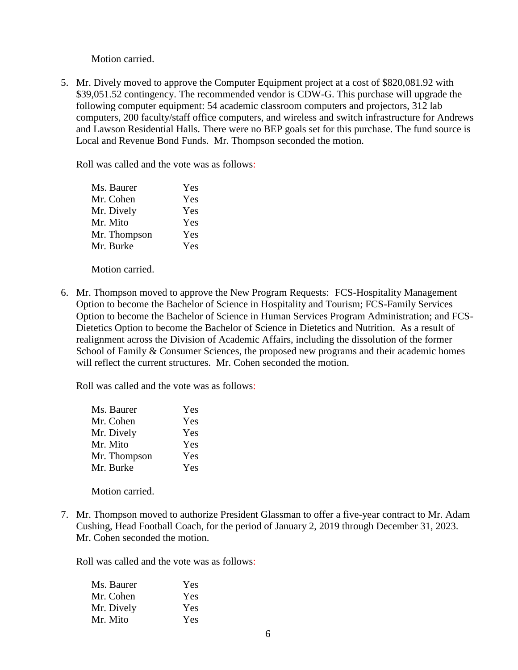Motion carried.

5. Mr. Dively moved to approve the Computer Equipment project at a cost of \$820,081.92 with \$39,051.52 contingency. The recommended vendor is CDW-G. This purchase will upgrade the following computer equipment: 54 academic classroom computers and projectors, 312 lab computers, 200 faculty/staff office computers, and wireless and switch infrastructure for Andrews and Lawson Residential Halls. There were no BEP goals set for this purchase. The fund source is Local and Revenue Bond Funds. Mr. Thompson seconded the motion.

Roll was called and the vote was as follows:

| Yes |
|-----|
| Yes |
| Yes |
| Yes |
| Yes |
| Yes |
|     |

Motion carried.

6. Mr. Thompson moved to approve the New Program Requests: FCS-Hospitality Management Option to become the Bachelor of Science in Hospitality and Tourism; FCS-Family Services Option to become the Bachelor of Science in Human Services Program Administration; and FCS-Dietetics Option to become the Bachelor of Science in Dietetics and Nutrition. As a result of realignment across the Division of Academic Affairs, including the dissolution of the former School of Family & Consumer Sciences, the proposed new programs and their academic homes will reflect the current structures. Mr. Cohen seconded the motion.

Roll was called and the vote was as follows:

| Ms. Baurer   | Yes |
|--------------|-----|
| Mr. Cohen    | Yes |
| Mr. Dively   | Yes |
| Mr. Mito     | Yes |
| Mr. Thompson | Yes |
| Mr. Burke    | Yes |
|              |     |

Motion carried.

7. Mr. Thompson moved to authorize President Glassman to offer a five-year contract to Mr. Adam Cushing, Head Football Coach, for the period of January 2, 2019 through December 31, 2023. Mr. Cohen seconded the motion.

Roll was called and the vote was as follows:

| Ms. Baurer | Yes |
|------------|-----|
| Mr. Cohen  | Yes |
| Mr. Dively | Yes |
| Mr. Mito   | Yes |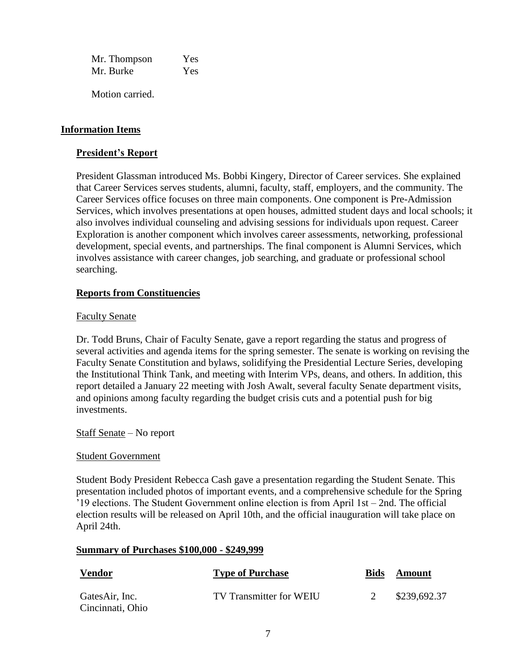Mr. Thompson Yes Mr. Burke Yes

Motion carried.

#### **Information Items**

#### **President's Report**

President Glassman introduced Ms. Bobbi Kingery, Director of Career services. She explained that Career Services serves students, alumni, faculty, staff, employers, and the community. The Career Services office focuses on three main components. One component is Pre-Admission Services, which involves presentations at open houses, admitted student days and local schools; it also involves individual counseling and advising sessions for individuals upon request. Career Exploration is another component which involves career assessments, networking, professional development, special events, and partnerships. The final component is Alumni Services, which involves assistance with career changes, job searching, and graduate or professional school searching.

# **Reports from Constituencies**

#### Faculty Senate

Dr. Todd Bruns, Chair of Faculty Senate, gave a report regarding the status and progress of several activities and agenda items for the spring semester. The senate is working on revising the Faculty Senate Constitution and bylaws, solidifying the Presidential Lecture Series, developing the Institutional Think Tank, and meeting with Interim VPs, deans, and others. In addition, this report detailed a January 22 meeting with Josh Awalt, several faculty Senate department visits, and opinions among faculty regarding the budget crisis cuts and a potential push for big investments.

#### Staff Senate – No report

#### Student Government

Student Body President Rebecca Cash gave a presentation regarding the Student Senate. This presentation included photos of important events, and a comprehensive schedule for the Spring '19 elections. The Student Government online election is from April 1st – 2nd. The official election results will be released on April 10th, and the official inauguration will take place on April 24th.

#### **Summary of Purchases \$100,000 - \$249,999**

| <u>Vendor</u>                      | <b>Type of Purchase</b> | <b>Bids</b> | Amount       |
|------------------------------------|-------------------------|-------------|--------------|
| GatesAir, Inc.<br>Cincinnati, Ohio | TV Transmitter for WEIU |             | \$239,692.37 |